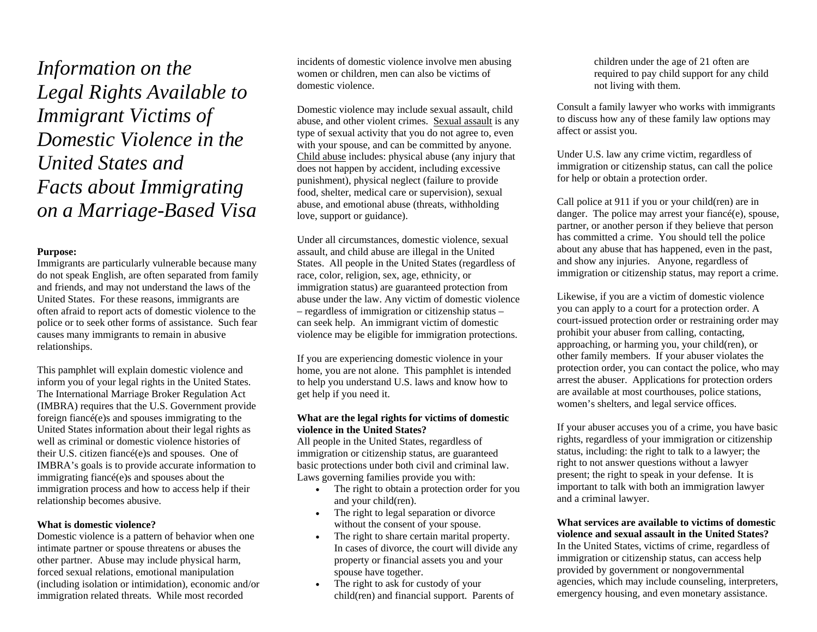*Information on the Legal Rights Available to Immigrant Victims of Domestic Violence in the United States and Facts about Immigrating on a Marriage-Based Visa* 

# **Purpose:**

Immigrants are particularly vulnerable because many do not speak English, are often separated from family and friends, and may not understand the laws of the United States. For these reasons, immigrants are often afraid to report acts of domestic violence to the police or to seek other forms of assistance. Such fear causes many immigrants to remain in abusive relationships.

This pamphlet will explain domestic violence and inform you of your legal rights in the United States. The International Marriage Broker Regulation Act (IMBRA) requires that the U.S. Government provide foreign fiancé(e)s and spouses immigrating to the United States information about their legal rights as well as criminal or domestic violence histories of their U.S. citizen fiancé(e)s and spouses. One of IMBRA's goals is to provide accurate information to immigrating fiancé(e)s and spouses about the immigration process and how to access help if their relationship becomes abusive.

# **What is domestic violence?**

Domestic violence is a pattern of behavior when one intimate partner or spouse threatens or abuses the other partner. Abuse may include physical harm, forced sexual relations, emotional manipulation (including isolation or intimidation), economic and/or immigration related threats. While most recorded

incidents of domestic violence involve men abusing women or children, men can also be victims of domestic violence.

Domestic violence may include sexual assault, child abuse, and other violent crimes. Sexual assault is any type of sexual activity that you do not agree to, even with your spouse, and can be committed by anyone. Child abuse includes: physical abuse (any injury that does not happen by accident, including excessive punishment), physical neglect (failure to provide food, shelter, medical care or supervision), sexual abuse, and emotional abuse (threats, withholding love, support or guidance).

Under all circumstances, domestic violence, sexual assault, and child abuse are illegal in the United States. All people in the United States (regardless of race, color, religion, sex, age, ethnicity, or immigration status) are guaranteed protection from abuse under the law. Any victim of domestic violence – regardless of immigration or citizenship status – can seek help. An immigrant victim of domestic violence may be eligible for immigration protections.

If you are experiencing domestic violence in your home, you are not alone. This pamphlet is intended to help you understand U.S. laws and know how to get help if you need it.

#### **What are the legal rights for victims of domestic violence in the United States?**

All people in the United States, regardless of immigration or citizenship status, are guaranteed basic protections under both civil and criminal law. Laws governing families provide you with:

- • The right to obtain a protection order for you and your child(ren).
- • The right to legal separation or divorce without the consent of your spouse.
- • The right to share certain marital property. In cases of divorce, the court will divide any property or financial assets you and your spouse have together.
- • The right to ask for custody of your child(ren) and financial support. Parents of

children under the age of 21 often are required to pay child support for any child not living with them.

Consult a family lawyer who works with immigrants to discuss how any of these family law options may affect or assist you.

Under U.S. law any crime victim, regardless of immigration or citizenship status, can call the police for help or obtain a protection order.

Call police at 911 if you or your child(ren) are in danger. The police may arrest your fiancé(e), spouse, partner, or another person if they believe that person has committed a crime. You should tell the police about any abuse that has happened, even in the past, and show any injuries. Anyone, regardless of immigration or citizenship status, may report a crime.

Likewise, if you are a victim of domestic violence you can apply to a court for a protection order. A court-issued protection order or restraining order may prohibit your abuser from calling, contacting, approaching, or harming you, your child(ren), or other family members. If your abuser violates the protection order, you can contact the police, who may arrest the abuser. Applications for protection orders are available at most courthouses, police stations, women's shelters, and legal service offices.

If your abuser accuses you of a crime, you have basic rights, regardless of your immigration or citizenship status, including: the right to talk to a lawyer; the right to not answer questions without a lawyer present; the right to speak in your defense. It is important to talk with both an immigration lawyer and a criminal lawyer.

**What services are available to victims of domestic violence and sexual assault in the United States?** In the United States, victims of crime, regardless of immigration or citizenship status, can access help provided by government or nongovernmental agencies, which may include counseling, interpreters, emergency housing, and even monetary assistance.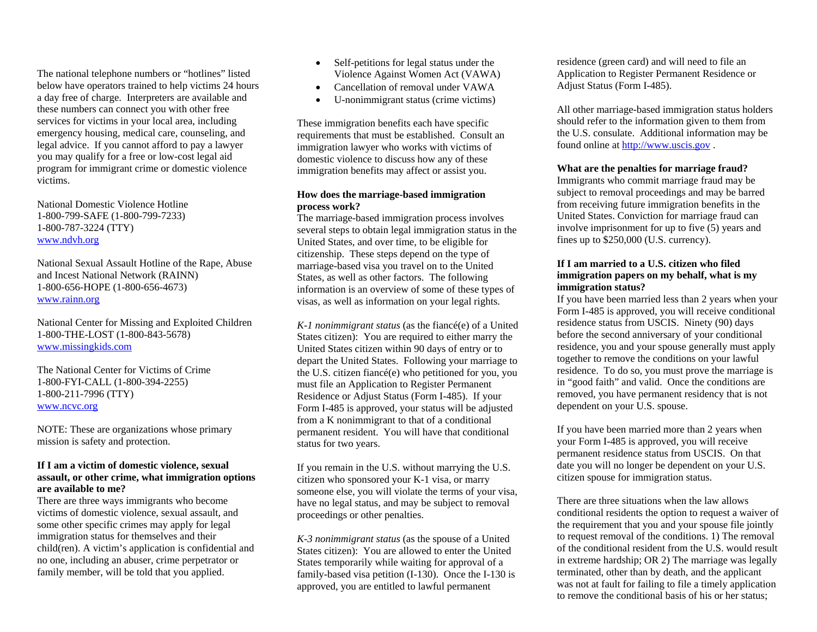The national telephone numbers or "hotlines" listed below have operators trained to help victims 24 hours a day free of charge. Interpreters are available and these numbers can connect you with other free services for victims in your local area, including emergency housing, medical care, counseling, and legal advice. If you cannot afford to pay a lawyer you may qualify for a free or low-cost legal aid program for immigrant crime or domestic violence victims.

National Domestic Violence Hotline 1-800-799-SAFE (1-800-799-7233) 1-800-787-3224 (TTY) [www.ndvh.org](http://www.ndvh.org/)

National Sexual Assault Hotline of the Rape, Abuse and Incest National Network (RAINN) 1-800-656-HOPE (1-800-656-4673) [www.rainn.org](http://www.rainn.org/)

National Center for Missing and Exploited Children 1-800-THE-LOST (1-800-843-5678) [www.missingkids.com](http://www.missingkids.com/)

The National Center for Victims of Crime 1-800-FYI-CALL (1-800-394-2255) 1-800-211-7996 (TTY) [www.ncvc.org](http://www.ncvc.org/)

NOTE: These are organizations whose primary mission is safety and protection.

## **If I am a victim of domestic violence, sexual assault, or other crime, what immigration options are available to me?**

There are three ways immigrants who become victims of domestic violence, sexual assault, and some other specific crimes may apply for legal immigration status for themselves and their child(ren). A victim's application is confidential and no one, including an abuser, crime perpetrator or family member, will be told that you applied.

- Self-petitions for legal status under the Violence Against Women Act (VAWA)
- •Cancellation of removal under VAWA
- •U-nonimmigrant status (crime victims)

These immigration benefits each have specific requirements that must be established. Consult an immigration lawyer who works with victims of domestic violence to discuss how any of these immigration benefits may affect or assist you.

#### **How does the marriage-based immigration process work?**

The marriage-based immigration process involves several steps to obtain legal immigration status in the United States, and over time, to be eligible for citizenship. These steps depend on the type of marriage-based visa you travel on to the United States, as well as other factors. The following information is an overview of some of these types of visas, as well as information on your legal rights.

*K-1 nonimmigrant status* (as the fiancé(e) of a United States citizen): You are required to either marry the United States citizen within 90 days of entry or to depart the United States. Following your marriage to the U.S. citizen fiancé(e) who petitioned for you, you must file an Application to Register Permanent Residence or Adjust Status (Form I-485). If your Form I-485 is approved, your status will be adjusted from a K nonimmigrant to that of a conditional permanent resident. You will have that conditional status for two years.

If you remain in the U.S. without marrying the U.S. citizen who sponsored your K-1 visa, or marry someone else, you will violate the terms of your visa, have no legal status, and may be subject to removal proceedings or other penalties.

*K-3 nonimmigrant status* (as the spouse of a United States citizen): You are allowed to enter the United States temporarily while waiting for approval of a family-based visa petition (I-130). Once the I-130 is approved, you are entitled to lawful permanent

residence (green card) and will need to file an Application to Register Permanent Residence or Adjust Status (Form I-485).

All other marriage-based immigration status holders should refer to the information given to them from the U.S. consulate. Additional information may be found online at [http://www.uscis.gov](http://www.uscis.gov/) .

# **What are the penalties for marriage fraud?**

Immigrants who commit marriage fraud may be subject to removal proceedings and may be barred from receiving future immigration benefits in the United States. Conviction for marriage fraud can involve imprisonment for up to five (5) years and fines up to \$250,000 (U.S. currency).

# **If I am married to a U.S. citizen who filed immigration papers on my behalf, what is my immigration status?**

If you have been married less than 2 years when your Form I-485 is approved, you will receive conditional residence status from USCIS. Ninety (90) days before the second anniversary of your conditional residence, you and your spouse generally must apply together to remove the conditions on your lawful residence. To do so, you must prove the marriage is in "good faith" and valid. Once the conditions are removed, you have permanent residency that is not dependent on your U.S. spouse.

If you have been married more than 2 years when your Form I-485 is approved, you will receive permanent residence status from USCIS. On that date you will no longer be dependent on your U.S. citizen spouse for immigration status.

There are three situations when the law allows conditional residents the option to request a waiver of the requirement that you and your spouse file jointly to request removal of the conditions. 1) The removal of the conditional resident from the U.S. would result in extreme hardship; OR 2) The marriage was legally terminated, other than by death, and the applicant was not at fault for failing to file a timely application to remove the conditional basis of his or her status;